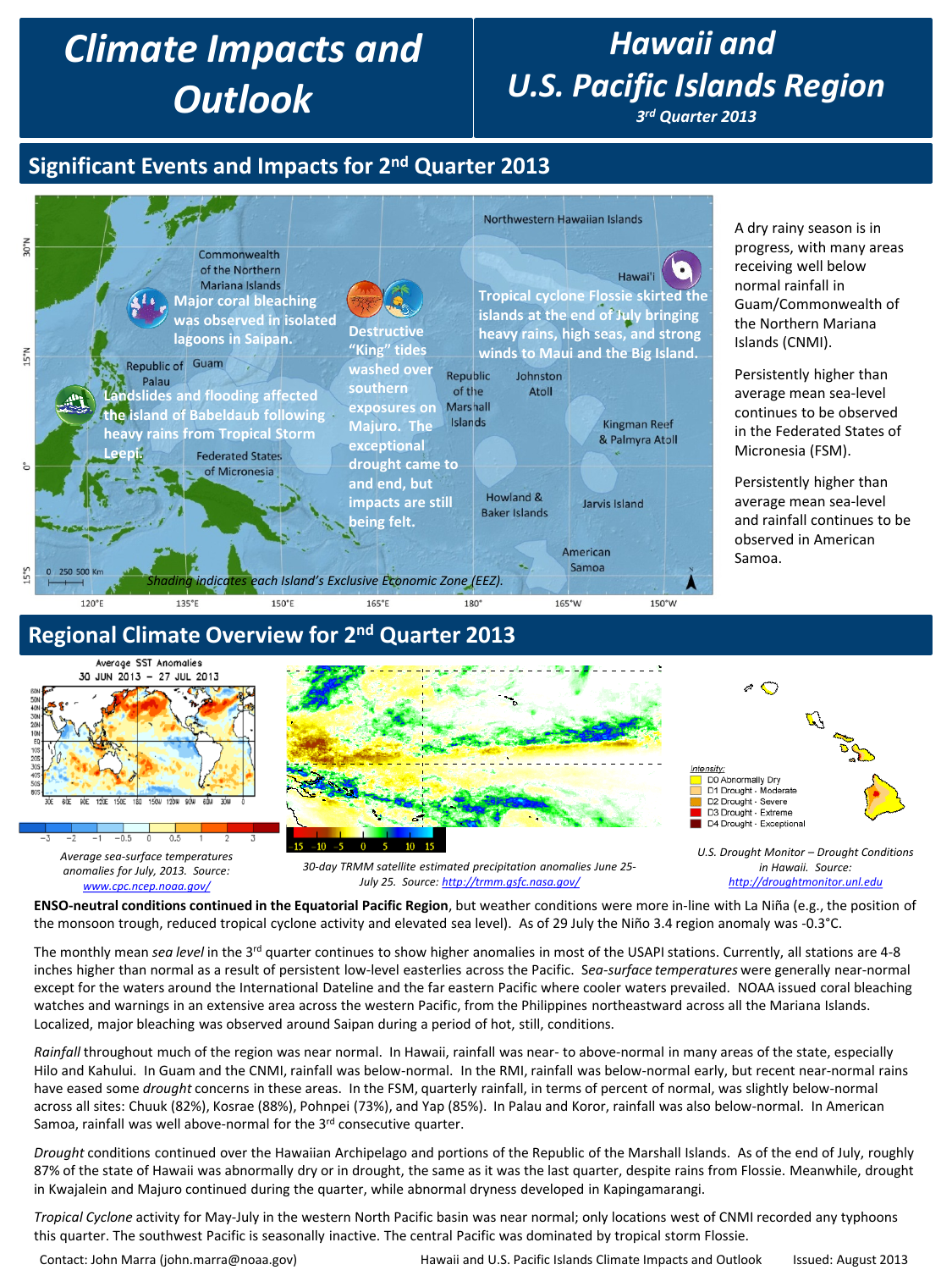# *Climate Impacts and Outlook*

# *Hawaii and U.S. Pacific Islands Region*

*3rd Quarter 2013*

## **Significant Events and Impacts for 2nd Quarter 2013**



**ENSO-neutral conditions continued in the Equatorial Pacific Region**, but weather conditions were more in-line with La Niña (e.g., the position of the monsoon trough, reduced tropical cyclone activity and elevated sea level). As of 29 July the Niño 3.4 region anomaly was -0.3°C.

The monthly mean *sea level* in the 3<sup>rd</sup> quarter continues to show higher anomalies in most of the USAPI stations. Currently, all stations are 4-8 inches higher than normal as a result of persistent low-level easterlies across the Pacific. S*ea-surface temperatures* were generally near-normal except for the waters around the International Dateline and the far eastern Pacific where cooler waters prevailed. NOAA issued coral bleaching watches and warnings in an extensive area across the western Pacific, from the Philippines northeastward across all the Mariana Islands. Localized, major bleaching was observed around Saipan during a period of hot, still, conditions.

*Rainfall* throughout much of the region was near normal. In Hawaii, rainfall was near- to above-normal in many areas of the state, especially Hilo and Kahului. In Guam and the CNMI, rainfall was below-normal. In the RMI, rainfall was below-normal early, but recent near-normal rains have eased some *drought* concerns in these areas. In the FSM, quarterly rainfall, in terms of percent of normal, was slightly below-normal across all sites: Chuuk (82%), Kosrae (88%), Pohnpei (73%), and Yap (85%). In Palau and Koror, rainfall was also below-normal. In American Samoa, rainfall was well above-normal for the 3rd consecutive quarter.

*Drought* conditions continued over the Hawaiian Archipelago and portions of the Republic of the Marshall Islands. As of the end of July, roughly 87% of the state of Hawaii was abnormally dry or in drought, the same as it was the last quarter, despite rains from Flossie. Meanwhile, drought in Kwajalein and Majuro continued during the quarter, while abnormal dryness developed in Kapingamarangi.

*Tropical Cyclone* activity for May-July in the western North Pacific basin was near normal; only locations west of CNMI recorded any typhoons this quarter. The southwest Pacific is seasonally inactive. The central Pacific was dominated by tropical storm Flossie.

Contact: John Marra (john.marra@noaa.gov) Hawaii and U.S. Pacific Islands Climate Impacts and Outlook Issued: August 2013